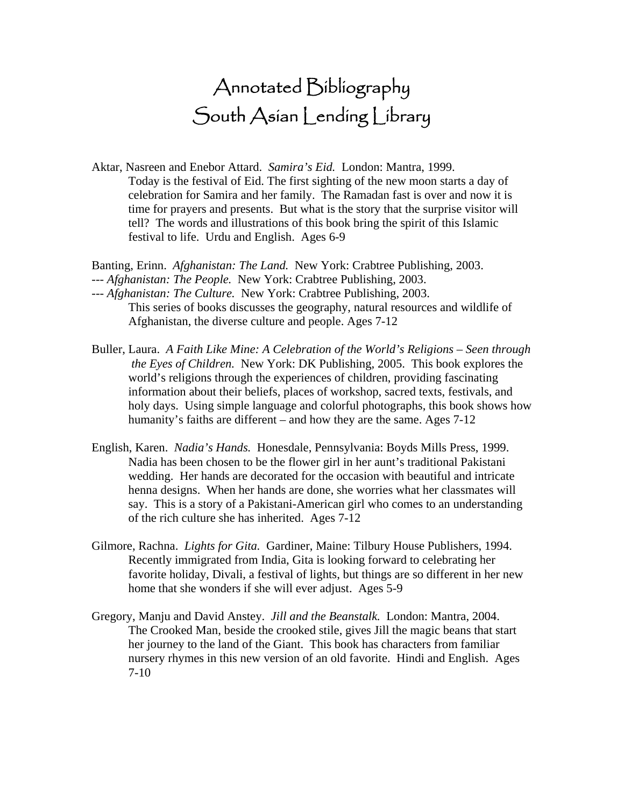## Annotated Bibliography South Asian Lending Library

- Aktar, Nasreen and Enebor Attard. *Samira's Eid.* London: Mantra, 1999. Today is the festival of Eid. The first sighting of the new moon starts a day of celebration for Samira and her family. The Ramadan fast is over and now it is time for prayers and presents. But what is the story that the surprise visitor will tell? The words and illustrations of this book bring the spirit of this Islamic festival to life. Urdu and English. Ages 6-9
- Banting, Erinn. *Afghanistan: The Land.* New York: Crabtree Publishing, 2003.
- --- *Afghanistan: The People.* New York: Crabtree Publishing, 2003.
- --- *Afghanistan: The Culture.* New York: Crabtree Publishing, 2003. This series of books discusses the geography, natural resources and wildlife of Afghanistan, the diverse culture and people. Ages 7-12
- Buller, Laura. *A Faith Like Mine: A Celebration of the World's Religions Seen through the Eyes of Children.* New York: DK Publishing, 2005. This book explores the world's religions through the experiences of children, providing fascinating information about their beliefs, places of workshop, sacred texts, festivals, and holy days. Using simple language and colorful photographs, this book shows how humanity's faiths are different – and how they are the same. Ages 7-12
- English, Karen. *Nadia's Hands.* Honesdale, Pennsylvania: Boyds Mills Press, 1999. Nadia has been chosen to be the flower girl in her aunt's traditional Pakistani wedding. Her hands are decorated for the occasion with beautiful and intricate henna designs. When her hands are done, she worries what her classmates will say. This is a story of a Pakistani-American girl who comes to an understanding of the rich culture she has inherited. Ages 7-12
- Gilmore, Rachna. *Lights for Gita.* Gardiner, Maine: Tilbury House Publishers, 1994. Recently immigrated from India, Gita is looking forward to celebrating her favorite holiday, Divali, a festival of lights, but things are so different in her new home that she wonders if she will ever adjust. Ages 5-9
- Gregory, Manju and David Anstey. *Jill and the Beanstalk.* London: Mantra, 2004. The Crooked Man, beside the crooked stile, gives Jill the magic beans that start her journey to the land of the Giant. This book has characters from familiar nursery rhymes in this new version of an old favorite. Hindi and English. Ages 7-10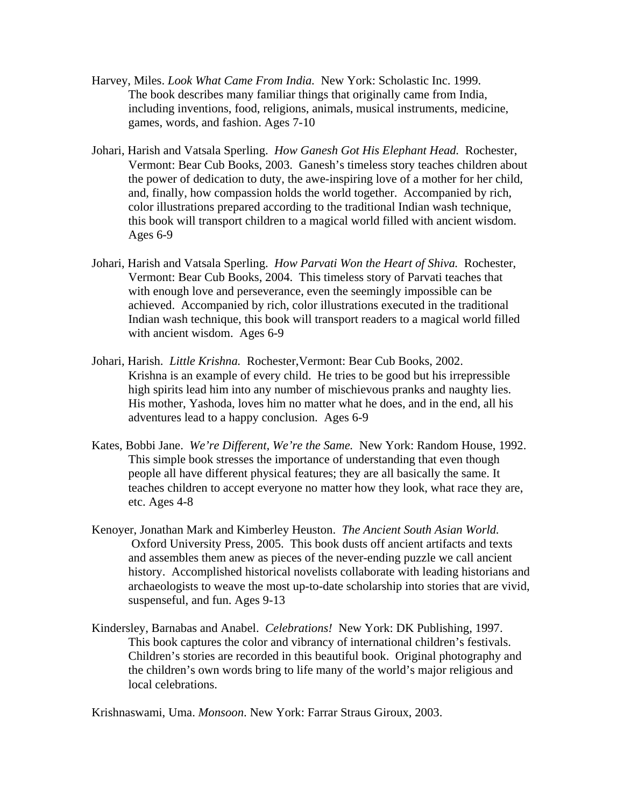- Harvey, Miles. *Look What Came From India.* New York: Scholastic Inc. 1999. The book describes many familiar things that originally came from India, including inventions, food, religions, animals, musical instruments, medicine, games, words, and fashion. Ages 7-10
- Johari, Harish and Vatsala Sperling. *How Ganesh Got His Elephant Head.* Rochester, Vermont: Bear Cub Books, 2003. Ganesh's timeless story teaches children about the power of dedication to duty, the awe-inspiring love of a mother for her child, and, finally, how compassion holds the world together. Accompanied by rich, color illustrations prepared according to the traditional Indian wash technique, this book will transport children to a magical world filled with ancient wisdom. Ages 6-9
- Johari, Harish and Vatsala Sperling. *How Parvati Won the Heart of Shiva.* Rochester, Vermont: Bear Cub Books, 2004. This timeless story of Parvati teaches that with enough love and perseverance, even the seemingly impossible can be achieved. Accompanied by rich, color illustrations executed in the traditional Indian wash technique, this book will transport readers to a magical world filled with ancient wisdom. Ages 6-9
- Johari, Harish. *Little Krishna.* Rochester,Vermont: Bear Cub Books, 2002. Krishna is an example of every child. He tries to be good but his irrepressible high spirits lead him into any number of mischievous pranks and naughty lies. His mother, Yashoda, loves him no matter what he does, and in the end, all his adventures lead to a happy conclusion. Ages 6-9
- Kates, Bobbi Jane. *We're Different, We're the Same.* New York: Random House, 1992. This simple book stresses the importance of understanding that even though people all have different physical features; they are all basically the same. It teaches children to accept everyone no matter how they look, what race they are, etc. Ages 4-8
- Kenoyer, Jonathan Mark and Kimberley Heuston. *The Ancient South Asian World.* Oxford University Press, 2005. This book dusts off ancient artifacts and texts and assembles them anew as pieces of the never-ending puzzle we call ancient history. Accomplished historical novelists collaborate with leading historians and archaeologists to weave the most up-to-date scholarship into stories that are vivid, suspenseful, and fun. Ages 9-13
- Kindersley, Barnabas and Anabel. *Celebrations!* New York: DK Publishing, 1997. This book captures the color and vibrancy of international children's festivals. Children's stories are recorded in this beautiful book. Original photography and the children's own words bring to life many of the world's major religious and local celebrations.

Krishnaswami, Uma. *Monsoon*. New York: Farrar Straus Giroux, 2003.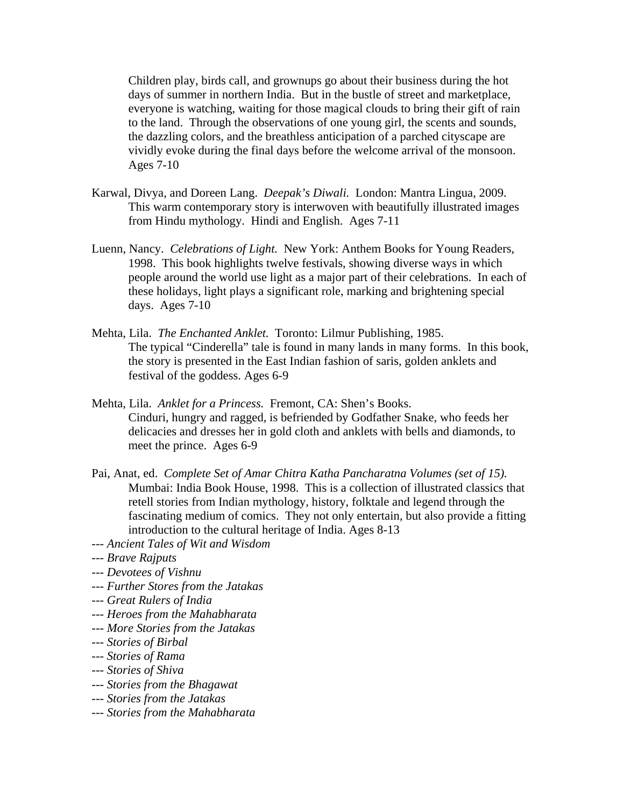Children play, birds call, and grownups go about their business during the hot days of summer in northern India. But in the bustle of street and marketplace, everyone is watching, waiting for those magical clouds to bring their gift of rain to the land. Through the observations of one young girl, the scents and sounds, the dazzling colors, and the breathless anticipation of a parched cityscape are vividly evoke during the final days before the welcome arrival of the monsoon. Ages 7-10

- Karwal, Divya, and Doreen Lang. *Deepak's Diwali.* London: Mantra Lingua, 2009. This warm contemporary story is interwoven with beautifully illustrated images from Hindu mythology. Hindi and English. Ages 7-11
- Luenn, Nancy. *Celebrations of Light.* New York: Anthem Books for Young Readers, 1998. This book highlights twelve festivals, showing diverse ways in which people around the world use light as a major part of their celebrations. In each of these holidays, light plays a significant role, marking and brightening special days. Ages 7-10
- Mehta, Lila. *The Enchanted Anklet.* Toronto: Lilmur Publishing, 1985. The typical "Cinderella" tale is found in many lands in many forms. In this book, the story is presented in the East Indian fashion of saris, golden anklets and festival of the goddess. Ages 6-9
- Mehta, Lila. *Anklet for a Princess.* Fremont, CA: Shen's Books. Cinduri, hungry and ragged, is befriended by Godfather Snake, who feeds her delicacies and dresses her in gold cloth and anklets with bells and diamonds, to meet the prince. Ages 6-9
- Pai, Anat, ed. *Complete Set of Amar Chitra Katha Pancharatna Volumes (set of 15).*  Mumbai: India Book House, 1998. This is a collection of illustrated classics that retell stories from Indian mythology, history, folktale and legend through the fascinating medium of comics. They not only entertain, but also provide a fitting introduction to the cultural heritage of India. Ages 8-13
- *--- Ancient Tales of Wit and Wisdom*

- *--- Devotees of Vishnu*
- *--- Further Stores from the Jatakas*
- *--- Great Rulers of India*
- *--- Heroes from the Mahabharata*
- *--- More Stories from the Jatakas*
- *--- Stories of Birbal*
- *--- Stories of Rama*
- --- *Stories of Shiva*
- *--- Stories from the Bhagawat*
- *--- Stories from the Jatakas*
- *--- Stories from the Mahabharata*

*<sup>---</sup> Brave Rajputs*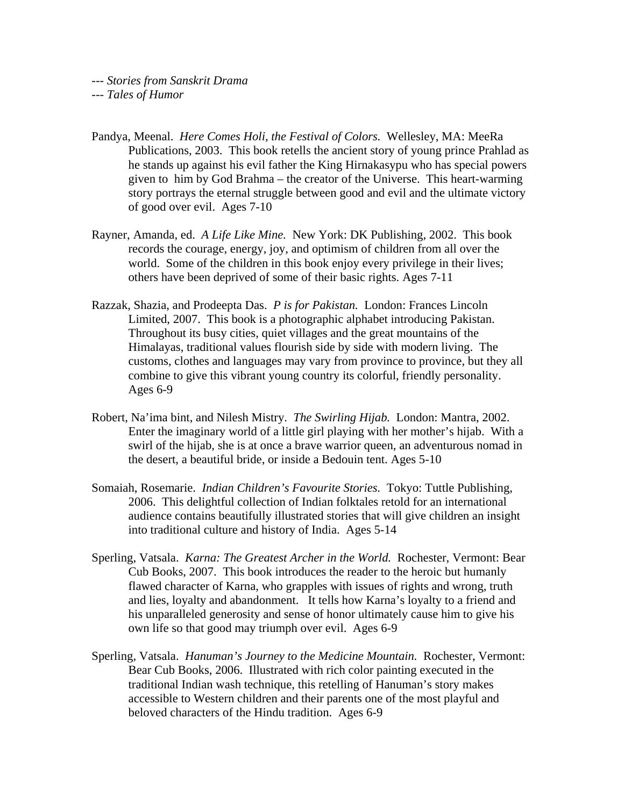- Pandya, Meenal. *Here Comes Holi, the Festival of Colors.* Wellesley, MA: MeeRa Publications, 2003. This book retells the ancient story of young prince Prahlad as he stands up against his evil father the King Hirnakasypu who has special powers given to him by God Brahma – the creator of the Universe. This heart-warming story portrays the eternal struggle between good and evil and the ultimate victory of good over evil. Ages 7-10
- Rayner, Amanda, ed. *A Life Like Mine.* New York: DK Publishing, 2002. This book records the courage, energy, joy, and optimism of children from all over the world. Some of the children in this book enjoy every privilege in their lives; others have been deprived of some of their basic rights. Ages 7-11
- Razzak, Shazia, and Prodeepta Das. *P is for Pakistan.* London: Frances Lincoln Limited, 2007. This book is a photographic alphabet introducing Pakistan. Throughout its busy cities, quiet villages and the great mountains of the Himalayas, traditional values flourish side by side with modern living. The customs, clothes and languages may vary from province to province, but they all combine to give this vibrant young country its colorful, friendly personality. Ages 6-9
- Robert, Na'ima bint, and Nilesh Mistry. *The Swirling Hijab.* London: Mantra, 2002. Enter the imaginary world of a little girl playing with her mother's hijab. With a swirl of the hijab, she is at once a brave warrior queen, an adventurous nomad in the desert, a beautiful bride, or inside a Bedouin tent. Ages 5-10
- Somaiah, Rosemarie. *Indian Children's Favourite Stories.* Tokyo: Tuttle Publishing, 2006. This delightful collection of Indian folktales retold for an international audience contains beautifully illustrated stories that will give children an insight into traditional culture and history of India. Ages 5-14
- Sperling, Vatsala. *Karna: The Greatest Archer in the World.* Rochester, Vermont: Bear Cub Books, 2007. This book introduces the reader to the heroic but humanly flawed character of Karna, who grapples with issues of rights and wrong, truth and lies, loyalty and abandonment. It tells how Karna's loyalty to a friend and his unparalleled generosity and sense of honor ultimately cause him to give his own life so that good may triumph over evil. Ages 6-9
- Sperling, Vatsala. *Hanuman's Journey to the Medicine Mountain.* Rochester, Vermont: Bear Cub Books, 2006. Illustrated with rich color painting executed in the traditional Indian wash technique, this retelling of Hanuman's story makes accessible to Western children and their parents one of the most playful and beloved characters of the Hindu tradition. Ages 6-9